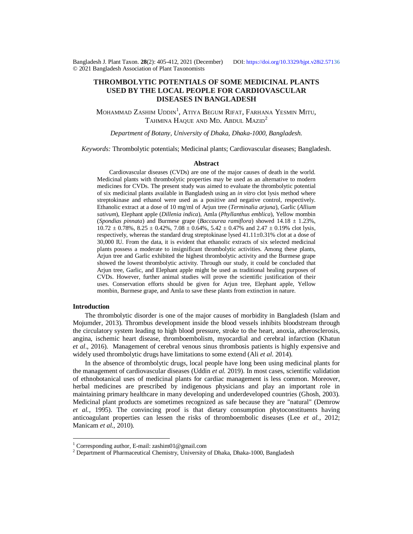Bangladesh J. Plant Taxon. **28**(2): 405-412, 2021 (December) DOI:<https://doi.org/10.3329/bjpt.v28i2.57136> © 2021 Bangladesh Association of Plant Taxonomists

# **THROMBOLYTIC POTENTIALS OF SOME MEDICINAL PLANTS USED BY THE LOCAL PEOPLE FOR CARDIOVASCULAR DISEASES IN BANGLADESH**

Mohammad Zashim Uddin<sup>1</sup>, Atiya Begum Rifat, Farhana Yesmin Mitu, TAHMINA HAQUE AND MD. ABDUL MAZID<sup>2</sup>

*Department of Botany, University of Dhaka, Dhaka-1000, Bangladesh.*

*Keywords:* Thrombolytic potentials; Medicinal plants; Cardiovascular diseases; Bangladesh.

# **Abstract**

Cardiovascular diseases (CVDs) are one of the major causes of death in the world. Medicinal plants with thrombolytic properties may be used as an alternative to modern medicines for CVDs. The present study was aimed to evaluate the thrombolytic potential of six medicinal plants available in Bangladesh using an *in vitro* clot lysis method where streptokinase and ethanol were used as a positive and negative control, respectively. Ethanolic extract at a dose of 10 mg/ml of Arjun tree (*Terminalia arjuna*), Garlic (*Allium sativum*), Elephant apple (*Dillenia indica*), Amla (*Phyllanthus emblica*), Yellow mombin (*Spondias pinnata*) and Burmese grape (*Baccaurea ramiflora*) showed 14.18 ± 1.23%,  $10.72 \pm 0.78\%$ ,  $8.25 \pm 0.42\%$ ,  $7.08 \pm 0.64\%$ ,  $5.42 \pm 0.47\%$  and  $2.47 \pm 0.19\%$  clot lysis, respectively, whereas the standard drug streptokinase lysed  $41.11\pm0.31\%$  clot at a dose of 30,000 IU. From the data, it is evident that ethanolic extracts of six selected medicinal plants possess a moderate to insignificant thrombolytic activities. Among these plants, Arjun tree and Garlic exhibited the highest thrombolytic activity and the Burmese grape showed the lowest thrombolytic activity*.* Through our study, it could be concluded that Arjun tree, Garlic, and Elephant apple might be used as traditional healing purposes of CVDs. However, further animal studies will prove the scientific justification of their uses. Conservation efforts should be given for Arjun tree, Elephant apple, Yellow mombin, Burmese grape, and Amla to save these plants from extinction in nature.

### **Introduction**

 $\overline{a}$ 

The thrombolytic disorder is one of the major causes of morbidity in Bangladesh (Islam and Mojumder, 2013). Thrombus development inside the blood vessels inhibits bloodstream through the circulatory system leading to high blood pressure, stroke to the heart, anoxia, atherosclerosis, angina, ischemic heart disease, thromboembolism, myocardial and cerebral infarction (Khatun *et al*., 2016). Management of cerebral venous sinus thrombosis patients is highly expensive and widely used thrombolytic drugs have limitations to some extend (Ali *et al*. 2014).

In the absence of thrombolytic drugs, local people have long been using medicinal plants for the management of cardiovascular diseases (Uddin *et al.* 2019). In most cases, scientific validation of ethnobotanical uses of medicinal plants for cardiac management is less common. Moreover, herbal medicines are prescribed by indigenous physicians and play an important role in maintaining primary healthcare in many developing and underdeveloped countries (Ghosh, 2003). Medicinal plant products are sometimes recognized as safe because they are "natural" (Demrow *et al.*, 1995). The convincing proof is that dietary consumption phytoconstituents having anticoagulant properties can lessen the risks of thromboembolic diseases (Lee *et al.*, 2012; Manicam *et al.*, 2010).

<sup>&</sup>lt;sup>1</sup> Corresponding author, E-mail: [zashim01@gmail.com](mailto:zashim01@gmail.com)

 $2$  Department of Pharmaceutical Chemistry, University of Dhaka, Dhaka-1000, Bangladesh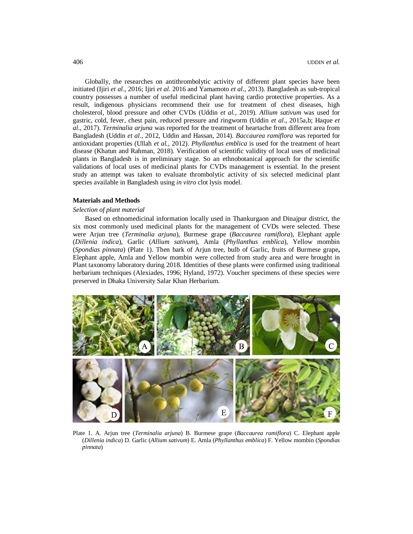Globally, the researches on antithrombolytic activity of different plant species have been initiated (Ijiri *et al*., 2016; Ijiri *et al*. 2016 and Yamamoto *et al.,* 2013). Bangladesh as sub-tropical country possesses a number of useful medicinal plant having cardio protective properties. As a result, indigenous physicians recommend their use for treatment of chest diseases, high cholesterol, blood pressure and other CVDs (Uddin *et al.*, 2019). *Allium sativum* was used for gastric, cold, fever, chest pain, reduced pressure and ringworm (Uddin *et al*., 2015a,b; Haque *et al*., 2017). *Terminalia arjuna* was reported for the treatment of heartache from different area from Bangladesh (Uddin *et al*., 2012, Uddin and Hassan, 2014). *Baccaurea ramiflora* was reported for antioxidant properties (Ullah *et al.,* 2012). *Phyllanthus emblica* is used for the treatment of heart disease (Khatun and Rahman, 2018). Verification of scientific validity of local uses of medicinal plants in Bangladesh is in preliminary stage. So an ethnobotanical approach for the scientific validations of local uses of medicinal plants for CVDs management is essential. In the present study an attempt was taken to evaluate thrombolytic activity of six selected medicinal plant species available in Bangladesh using *in vitro* clot lysis model.

### **Materials and Methods**

#### *Selection of plant material*

Based on ethnomedicinal information locally used in Thankurgaon and Dinajpur district, the six most commonly used medicinal plants for the management of CVDs were selected. These were Arjun tree (*Terminalia arjuna*)*,* Burmese grape (*Baccaurea ramiflora*)*,* Elephant apple (*Dillenia indica*), Garlic (*Allium sativum*)*,* Amla (*Phyllanthus emblica*), Yellow mombin (*Spondias pinnata*) (Plate 1). Then bark of Arjun tree, bulb of Garlic, fruits of Burmese grape**,** Elephant apple, Amla and Yellow mombin were collected from study area and were brought in Plant taxonomy laboratory during 2018. Identities of these plants were confirmed using traditional herbarium techniques (Alexiades, 1996; Hyland, 1972). Voucher specimens of these species were preserved in Dhaka University Salar Khan Herbarium.



Plate 1. A. Arjun tree (*Terminalia arjuna*) B. Burmese grape (*Baccaurea ramiflora*) C. Elephant apple (*Dillenia indica*) D. Garlic (*Allium sativum*) E. Amla (*Phyllanthus emblica*) F. Yellow mombin (*Spondias pinnata*)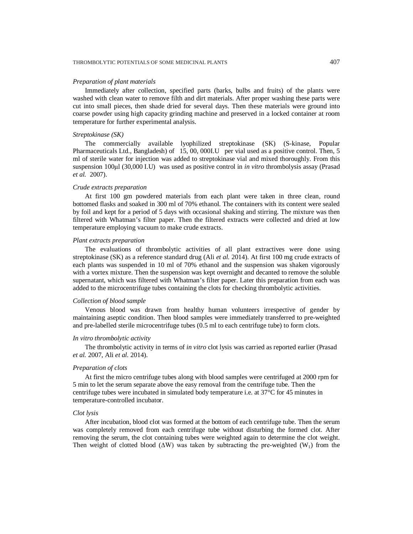#### THROMBOLYTIC POTENTIALS OF SOME MEDICINAL PLANTS 407

#### *Preparation of plant materials*

Immediately after collection, specified parts (barks, bulbs and fruits) of the plants were washed with clean water to remove filth and dirt materials. After proper washing these parts were cut into small pieces, then shade dried for several days. Then these materials were ground into coarse powder using high capacity grinding machine and preserved in a locked container at room temperature for further experimental analysis.

# *Streptokinase (SK)*

The commercially available lyophilized streptokinase (SK) (S-kinase, Popular Pharmaceuticals Ltd., Bangladesh) of 15, 00, 000I.U per vial used as a positive control. Then, 5 ml of sterile water for injection was added to streptokinase vial and mixed thoroughly. From this suspension 100μl (30,000 I.U) was used as positive control in *in vitro* thrombolysis assay (Prasad *et al.* 2007).

#### *Crude extracts preparation*

At first 100 gm powdered materials from each plant were taken in three clean, round bottomed flasks and soaked in 300 ml of 70% ethanol. The containers with its content were sealed by foil and kept for a period of 5 days with occasional shaking and stirring. The mixture was then filtered with Whatman's filter paper. Then the filtered extracts were collected and dried at low temperature employing vacuum to make crude extracts.

## *Plant extracts preparation*

The evaluations of thrombolytic activities of all plant extractives were done using streptokinase (SK) as a reference standard drug (Ali *et al.* 2014). At first 100 mg crude extracts of each plants was suspended in 10 ml of 70% ethanol and the suspension was shaken vigorously with a vortex mixture. Then the suspension was kept overnight and decanted to remove the soluble supernatant, which was filtered with Whatman's filter paper. Later this preparation from each was added to the microcentrifuge tubes containing the clots for checking thrombolytic activities.

# *Collection of blood sample*

Venous blood was drawn from healthy human volunteers irrespective of gender by maintaining aseptic condition. Then blood samples were immediately transferred to pre-weighted and pre-labelled sterile microcentrifuge tubes (0.5 ml to each centrifuge tube) to form clots.

### *In vitro thrombolytic activity*

The thrombolytic activity in terms of *in vitro* clot lysis was carried as reported earlier (Prasad *et al.* 2007, Ali *et al.* 2014).

#### *Preparation of clots*

At first the micro centrifuge tubes along with blood samples were centrifuged at 2000 rpm for 5 min to let the serum separate above the easy removal from the centrifuge tube. Then the centrifuge tubes were incubated in simulated body temperature i.e. at 37°C for 45 minutes in temperature-controlled incubator.

### *Clot lysis*

After incubation, blood clot was formed at the bottom of each centrifuge tube. Then the serum was completely removed from each centrifuge tube without disturbing the formed clot. After removing the serum, the clot containing tubes were weighted again to determine the clot weight. Then weight of clotted blood ( $\Delta W$ ) was taken by subtracting the pre-weighted (W<sub>1</sub>) from the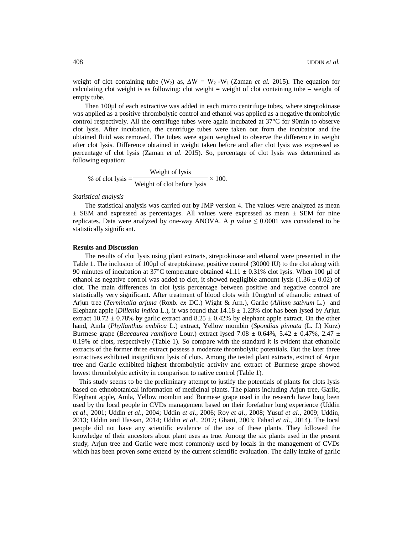weight of clot containing tube (W<sub>2</sub>) as,  $\Delta W = W_2 - W_1$  (Zaman *et al.* 2015). The equation for calculating clot weight is as following: clot weight  $=$  weight of clot containing tube  $-$  weight of empty tube.

Then 100µl of each extractive was added in each micro centrifuge tubes, where streptokinase was applied as a positive thrombolytic control and ethanol was applied as a negative thrombolytic control respectively. All the centrifuge tubes were again incubated at 37°C for 90min to observe clot lysis. After incubation, the centrifuge tubes were taken out from the incubator and the obtained fluid was removed. The tubes were again weighted to observe the difference in weight after clot lysis. Difference obtained in weight taken before and after clot lysis was expressed as percentage of clot lysis (Zaman *et al.* 2015). So, percentage of clot lysis was determined as following equation:

% of clot lysis = 
$$
\frac{\text{Weight of lysis}}{\text{Weight of clot before lysis}} \times 100.
$$

### *Statistical analysis*

The statistical analysis was carried out by JMP version 4. The values were analyzed as mean  $\pm$  SEM and expressed as percentages. All values were expressed as mean  $\pm$  SEM for nine replicates. Data were analyzed by one-way ANOVA. A *p* value  $\leq 0.0001$  was considered to be statistically significant.

### **Results and Discussion**

The results of clot lysis using plant extracts, streptokinase and ethanol were presented in the Table 1. The inclusion of 100 $\mu$ l of streptokinase, positive control (30000 IU) to the clot along with 90 minutes of incubation at 37°C temperature obtained 41.11  $\pm$  0.31% clot lysis. When 100 µl of ethanol as negative control was added to clot, it showed negligible amount lysis  $(1.36 \pm 0.02)$  of clot. The main differences in clot lysis percentage between positive and negative control are statistically very significant. After treatment of blood clots with 10mg/ml of ethanolic extract of Arjun tree (*Terminalia arjuna* (Roxb. *ex* DC.) Wight & Arn.), Garlic (*Allium sativum* L.) and Elephant apple (*Dillenia indica* L.), it was found that 14.18 ± 1.23% clot has been lysed by Arjun extract 10.72  $\pm$  0.78% by garlic extract and 8.25  $\pm$  0.42% by elephant apple extract. On the other hand, Amla (*Phyllanthus emblica* L.) extract, Yellow mombin (*Spondias pinnata* (L. f.) Kurz) Burmese grape (*Baccaurea ramiflora* Lour.) extract lysed 7.08  $\pm$  0.64%, 5.42  $\pm$  0.47%, 2.47  $\pm$ 0.19% of clots, respectively (Table 1). So compare with the standard it is evident that ethanolic extracts of the former three extract possess a moderate thrombolytic potentials. But the later three extractives exhibited insignificant lysis of clots. Among the tested plant extracts, extract of Arjun tree and Garlic exhibited highest thrombolytic activity and extract of Burmese grape showed lowest thrombolytic activity in comparison to native control (Table 1).

This study seems to be the preliminary attempt to justify the potentials of plants for clots lysis based on ethnobotanical information of medicinal plants. The plants including Arjun tree, Garlic, Elephant apple, Amla, Yellow mombin and Burmese grape used in the research have long been used by the local people in CVDs management based on their forefather long experience (Uddin *et al*., 2001; Uddin *et al*., 2004; Uddin *et al*., 2006; Roy *et al*., 2008; Yusuf *et al*., 2009; Uddin, 2013; Uddin and Hassan, 2014; Uddin *et al*., 2017; Ghani, 2003; Fahad *et al*., 2014). The local people did not have any scientific evidence of the use of these plants. They followed the knowledge of their ancestors about plant uses as true. Among the six plants used in the present study, Arjun tree and Garlic were most commonly used by locals in the management of CVDs which has been proven some extend by the current scientific evaluation. The daily intake of garlic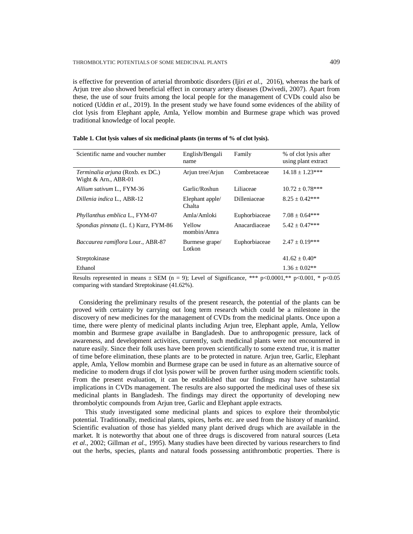is effective for prevention of arterial thrombotic disorders (Ijiri *et al*., 2016), whereas the bark of Arjun tree also showed beneficial effect in coronary artery diseases (Dwivedi, 2007). Apart from these, the use of sour fruits among the local people for the management of CVDs could also be noticed (Uddin *et al*., 2019). In the present study we have found some evidences of the ability of clot lysis from Elephant apple, Amla, Yellow mombin and Burmese grape which was proved traditional knowledge of local people.

| Scientific name and voucher number                         | English/Bengali<br>name   | Family        | % of clot lysis after<br>using plant extract |
|------------------------------------------------------------|---------------------------|---------------|----------------------------------------------|
| Terminalia arjuna (Roxb. ex DC.)<br>Wight $&$ Arn., ABR-01 | Arjun tree/Arjun          | Combretaceae  | $14.18 \pm 1.23***$                          |
| Allium sativum L., FYM-36                                  | Garlic/Roshun             | Liliaceae     | $10.72 \pm 0.78$ ***                         |
| Dillenia indica L., ABR-12                                 | Elephant apple/<br>Chalta | Dilleniaceae  | $8.25 \pm 0.42***$                           |
| Phyllanthus emblica L., FYM-07                             | Amla/Amloki               | Euphorbiaceae | $7.08 \pm 0.64***$                           |
| <i>Spondias pinnata</i> (L. f.) Kurz, FYM-86               | Yellow<br>mombin/Amra     | Anacardiaceae | $5.42 \pm 0.47***$                           |
| <i>Baccaurea ramiflora Lour., ABR-87</i>                   | Burmese grape/<br>Lotkon  | Euphorbiaceae | $2.47 \pm 0.19***$                           |
| Streptokinase                                              |                           |               | $41.62 \pm 0.40^*$                           |
| Ethanol                                                    |                           |               | $1.36 \pm 0.02**$                            |

|  | Table 1. Clot lysis values of six medicinal plants (in terms of % of clot lysis). |  |  |
|--|-----------------------------------------------------------------------------------|--|--|
|--|-----------------------------------------------------------------------------------|--|--|

Results represented in means  $\pm$  SEM (n = 9); Level of Significance, \*\*\* p<0.0001,\*\* p<0.001, \* p<0.05 comparing with standard Streptokinase (41.62%).

Considering the preliminary results of the present research, the potential of the plants can be proved with certainty by carrying out long term research which could be a milestone in the discovery of new medicines for the management of CVDs from the medicinal plants. Once upon a time, there were plenty of medicinal plants including Arjun tree, Elephant apple, Amla, Yellow mombin and Burmese grape availalbe in Bangladesh. Due to anthropogenic pressure, lack of awareness, and development activities, currently, such medicinal plants were not encountered in nature easily. Since their folk uses have been proven scientifically to some extend true, it is matter of time before elimination, these plants are to be protected in nature. Arjun tree, Garlic, Elephant apple, Amla, Yellow mombin and Burmese grape can be used in future as an alternative source of medicine to modern drugs if clot lysis power will be proven further using modern scientific tools. From the present evaluation, it can be established that our findings may have substantial implications in CVDs management. The results are also supported the medicinal uses of these six medicinal plants in Bangladesh. The findings may direct the opportunity of developing new thrombolytic compounds from Arjun tree, Garlic and Elephant apple extracts.

This study investigated some medicinal plants and spices to explore their thrombolytic potential. Traditionally, medicinal plants, spices, herbs etc. are used from the history of mankind. Scientific evaluation of those has yielded many plant derived drugs which are available in the market. It is noteworthy that about one of three drugs is discovered from natural sources (Leta *et al.*, 2002; Gillman *et al.*, 1995). Many studies have been directed by various researchers to find out the herbs, species, plants and natural foods possessing antithrombotic properties. There is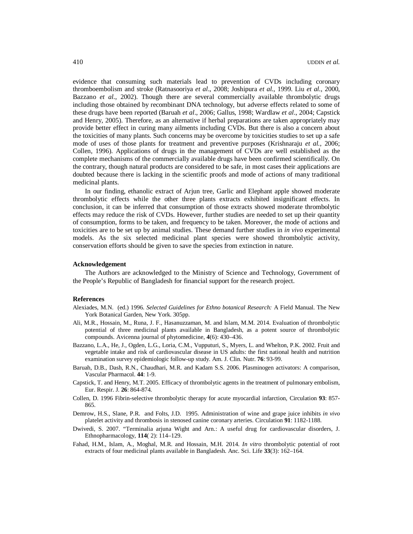evidence that consuming such materials lead to prevention of CVDs including coronary thromboembolism and stroke (Ratnasooriya *et al*., 2008; Joshipura *et al.,* 1999. Liu *et al.,* 2000, Bazzano *et al*., 2002). Though there are several commercially available thrombolytic drugs including those obtained by recombinant DNA technology, but adverse effects related to some of these drugs have been reported (Baruah *et al*., 2006; Gallus, 1998; Wardlaw *et al*., 2004; Capstick and Henry, 2005). Therefore, as an alternative if herbal preparations are taken appropriately may provide better effect in curing many ailments including CVDs. But there is also a concern about the toxicities of many plants. Such concerns may be overcome by toxicities studies to set up a safe mode of uses of those plants for treatment and preventive purposes (Krishnaraju *et al.,* 2006; Collen, 1996). Applications of drugs in the management of CVDs are well established as the complete mechanisms of the commercially available drugs have been confirmed scientifically. On the contrary, though natural products are considered to be safe, in most cases their applications are doubted because there is lacking in the scientific proofs and mode of actions of many traditional medicinal plants.

In our finding, ethanolic extract of Arjun tree, Garlic and Elephant apple showed moderate thrombolytic effects while the other three plants extracts exhibited insignificant effects. In conclusion, it can be inferred that consumption of those extracts showed moderate thrombolytic effects may reduce the risk of CVDs. However, further studies are needed to set up their quantity of consumption, forms to be taken, and frequency to be taken. Moreover, the mode of actions and toxicities are to be set up by animal studies. These demand further studies in *in vivo* experimental models. As the six selected medicinal plant species were showed thrombolytic activity, conservation efforts should be given to save the species from extinction in nature.

#### **Acknowledgement**

The Authors are acknowledged to the Ministry of Science and Technology, Government of the People's Republic of Bangladesh for financial support for the research project.

#### **References**

- Alexiades, M.N. (ed.) 1996. *Selected Guidelines for Ethno botanical Research:* A Field Manual. The New York Botanical Garden, New York. 305pp.
- Ali, M.R., Hossain, M., Runa, J. F., Hasanuzzaman, M. and Islam, M.M. 2014. Evaluation of thrombolytic potential of three medicinal plants available in Bangladesh, as a potent source of thrombolytic compounds. Avicenna journal of phytomedicine, **4**(6): 430–436.
- Bazzano, L.A., He, J., Ogden, L.G., Loria, C.M., Vupputuri, S., Myers, L. and Whelton, P.K. 2002. Fruit and vegetable intake and risk of cardiovascular disease in US adults: the first national health and nutrition examination survey epidemiologic follow-up study. Am. J. Clin. Nutr. **76**: 93-99.
- Baruah, D.B., Dash, R.N., Chaudhari, M.R. and Kadam S.S. 2006. Plasminogen activators: A comparison, Vascular Pharmacol. **44**: 1-9.
- Capstick, T. and Henry, M.T. 2005. Efficacy of thrombolytic agents in the treatment of pulmonary embolism, Eur. Respir. J. **26**: 864-874.
- Collen, D. 1996 Fibrin-selective thrombolytic therapy for acute myocardial infarction, Circulation **93**: 857- 865.
- Demrow, H.S., Slane, P.R. and Folts, J.D. 1995. Administration of wine and grape juice inhibits *in vivo* platelet activity and thrombosis in stenosed canine coronary arteries. Circulation **91**: 1182-1188.
- Dwivedi, S. 2007. "Terminalia arjuna Wight and Arn.: A useful drug for cardiovascular disorders, J. Ethnopharmacology, **114**( 2): 114–129.
- Fahad, H.M., Islam, A., Moghal, M.R. and Hossain, M.H. 2014. *In vitro* thrombolytic potential of root extracts of four medicinal plants available in Bangladesh. Anc. Sci. Life **33**(3): 162–164.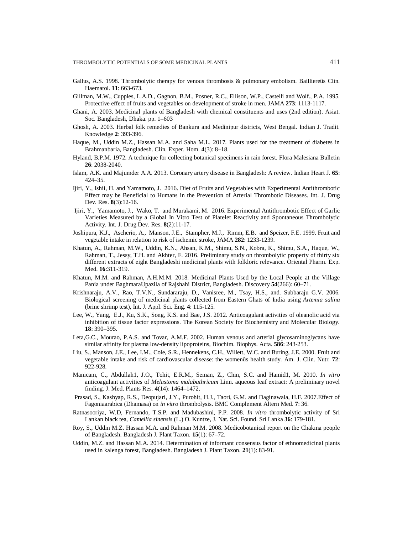- Gallus, A.S. 1998. Thrombolytic therapy for venous thrombosis & pulmonary embolism. Bailliereûs Clin. Haematol. **11**: 663-673.
- Gillman, M.W., Cupples, L.A.D., Gagnon, B.M., Posner, R.C., Ellison, W.P., Castelli and Wolf., P.A. 1995. Protective effect of fruits and vegetables on development of stroke in men. JAMA **273**: 1113-1117.
- Ghani, A. 2003. Medicinal plants of Bangladesh with chemical constituents and uses (2nd edition). Asiat. Soc. Bangladesh, Dhaka. pp. 1–603
- Ghosh, A. 2003. Herbal folk remedies of Bankura and Medinipur districts, West Bengal. Indian J. Tradit. Knowledge **2**: 393-396.
- Haque, M., Uddin M.Z., Hassan M.A. and Saha M.L. 2017. Plants used for the treatment of diabetes in Brahmanbaria, Bangladesh. Clin. Exper. Hom. **4**(3): 8–18.
- Hyland, B.P.M. 1972. A technique for collecting botanical specimens in rain forest. Flora Malesiana Bulletin **26**: 2038-2040.
- Islam, A.K. and Majumder A.A. 2013. Coronary artery disease in Bangladesh: A review. Indian Heart J. **65**: 424–35.
- Ijiri, Y., Ishii, H. and Yamamoto, J. 2016. Diet of Fruits and Vegetables with Experimental Antithrombotic Effect may be Beneficial to Humans in the Prevention of Arterial Thrombotic Diseases. Int. J. Drug Dev. Res. **8**(3):12-16.
- Ijiri, Y., Yamamoto, J., Wako, T. and Murakami, M. 2016. Experimental Antithrombotic Effect of Garlic Varieties Measured by a Global In Vitro Test of Platelet Reactivity and Spontaneous Thrombolytic Activity. Int. J. Drug Dev. Res. **8**(2):11-17.
- Joshipura, K.J., Ascherio, A., Manson, J.E., Stampher, M.J., Rimm, E.B. and Speizer, F.E. 1999. Fruit and vegetable intake in relation to risk of ischemic stroke, JAMA **282**: 1233-1239.
- Khatun, A., Rahman, M.W., Uddin, K.N., Ahsan, K.M., Shimu, S.N., Kobra, K., Shimu, S.A., Haque, W., Rahman, T., Jessy, T.H. and Akhter, F. 2016. Preliminary study on thrombolytic property of thirty six different extracts of eight Bangladeshi medicinal plants with folkloric relevance. Oriental Pharm. Exp. Med. **16**:311-319.
- Khatun, M.M. and Rahman, A.H.M.M. 2018. Medicinal Plants Used by the Local People at the Village Pania under BaghmaraUpazila of Rajshahi District, Bangladesh. Discovery **54**(266): 60–71.
- Krishnaraju, A.V., Rao, T.V.N., Sundararaju, D., Vanisree, M., Tsay, H.S., and. Subbaraju G.V. 2006. Biological screening of medicinal plants collected from Eastern Ghats of India using *Artemia salina*  (brine shrimp test), Int. J. Appl. Sci. Eng. **4**: 115-125.
- Lee, W., Yang, E.J., Ku, S.K., Song, K.S. and Bae, J.S. 2012. Anticoagulant activities of oleanolic acid via inhibition of tissue factor expressions. The Korean Society for Biochemistry and Molecular Biology. **18**: 390–395.
- Leta,G.C., Mourao, P.A.S. and Tovar, A.M.F. 2002. Human venous and arterial glycosaminoglycans have similar affinity for plasma low-density lipoproteins, Biochim. Biophys. Acta. **586**: 243-253.
- Liu, S., Manson, J.E., Lee, I.M., Cole, S.R., Hennekens, C.H., Willett, W.C. and Buring, J.E. 2000. Fruit and vegetable intake and risk of cardiovascular disease: the womenûs health study. Am. J. Clin. Nutr*.* **72**: 922-928.
- Manicam, C., Abdullah1, J.O., Tohit, E.R.M., Seman, Z., Chin, S.C. and Hamid1, M. 2010. *In vitro* anticoagulant activities of *Melastoma malabathricum* Linn. aqueous leaf extract: A preliminary novel finding. J. Med. Plants Res. **4**(14): 1464–1472.
- Prasad, S., Kashyap, R.S., Deopujari, J.Y., Purohit, H.J., Taori, G.M. and Daginawala, H.F. 2007.Effect of Fagoniaarabica (Dhamasa) on *in vitro* thrombolysis. BMC Complement Altern Med. **7**: 36.
- Ratnasooriya, W.D, Fernando, T.S.P. and Madubashini, P.P. 2008. *In vitro* thrombolytic activity of Sri Lankan black tea, *Camellia sinensis* (L.) O. Kuntze, J. Nat. Sci. Found. Sri Lanka **36**: 179-181.
- Roy, S., Uddin M.Z. Hassan M.A. and Rahman M.M. 2008. Medicobotanical report on the Chakma people of Bangladesh. Bangladesh J. Plant Taxon. **15**(1): 67–72.
- Uddin, M.Z. and Hassan M.A. 2014. Determination of informant consensus factor of ethnomedicinal plants used in kalenga forest, Bangladesh. Bangladesh J. Plant Taxon. **21**(1): 83-91.